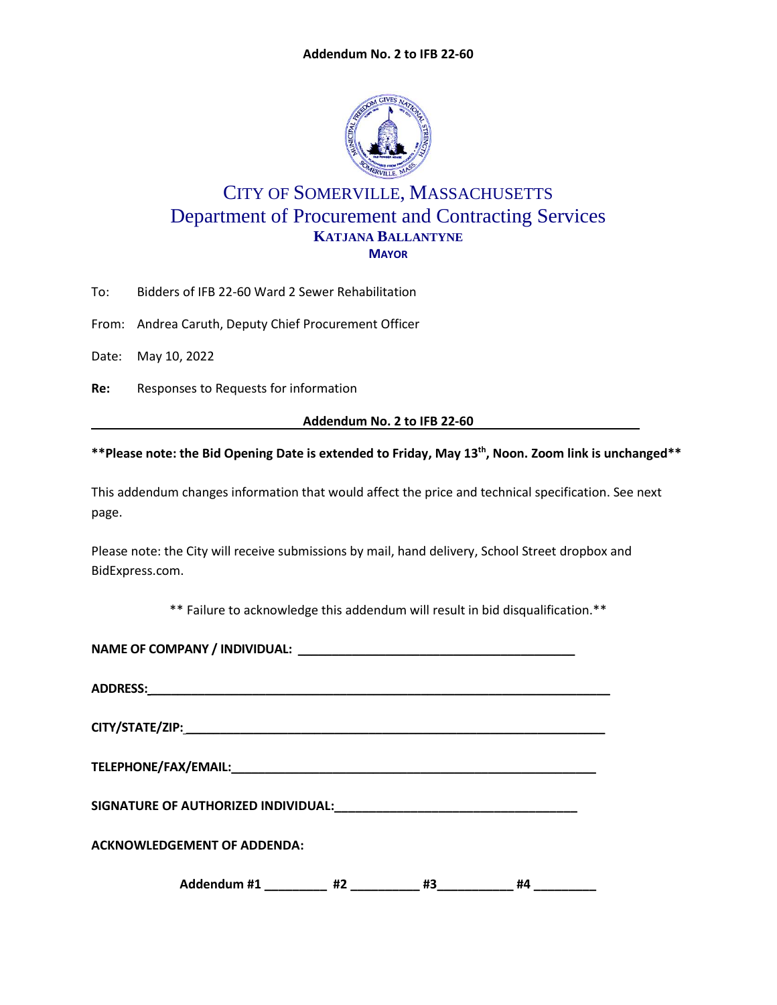

## CITY OF SOMERVILLE, MASSACHUSETTS Department of Procurement and Contracting Services **KATJANA BALLANTYNE MAYOR**

To: Bidders of IFB 22-60 Ward 2 Sewer Rehabilitation

From: Andrea Caruth, Deputy Chief Procurement Officer

Date: May 10, 2022

**Re:** Responses to Requests for information

**Addendum No. 2 to IFB 22-60**

## **\*\*Please note: the Bid Opening Date is extended to Friday, May 13th , Noon. Zoom link is unchanged\*\***

This addendum changes information that would affect the price and technical specification. See next page.

Please note: the City will receive submissions by mail, hand delivery, School Street dropbox and BidExpress.com.

\*\* Failure to acknowledge this addendum will result in bid disqualification.\*\*

| <b>ACKNOWLEDGEMENT OF ADDENDA:</b> |  |                   |    |  |  |
|------------------------------------|--|-------------------|----|--|--|
| Addendum #1 _________ #2 _________ |  | _#3______________ | #4 |  |  |